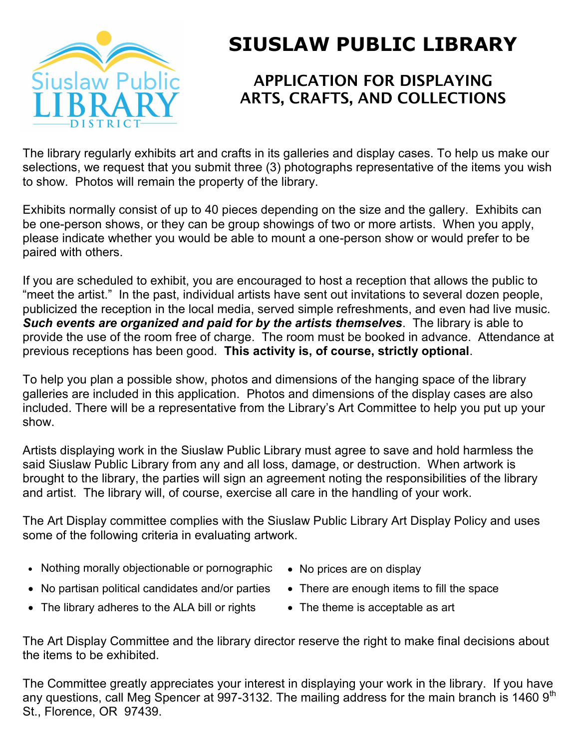

## **SIUSLAW PUBLIC LIBRARY**

## **APPLICATION FOR DISPLAYING ARTS, CRAFTS, AND COLLECTIONS**

The library regularly exhibits art and crafts in its galleries and display cases. To help us make our selections, we request that you submit three (3) photographs representative of the items you wish to show. Photos will remain the property of the library.

Exhibits normally consist of up to 40 pieces depending on the size and the gallery. Exhibits can be one-person shows, or they can be group showings of two or more artists. When you apply, please indicate whether you would be able to mount a one-person show or would prefer to be paired with others.

If you are scheduled to exhibit, you are encouraged to host a reception that allows the public to "meet the artist." In the past, individual artists have sent out invitations to several dozen people, publicized the reception in the local media, served simple refreshments, and even had live music. *Such events are organized and paid for by the artists themselves*. The library is able to provide the use of the room free of charge. The room must be booked in advance. Attendance at previous receptions has been good. **This activity is, of course, strictly optional**.

To help you plan a possible show, photos and dimensions of the hanging space of the library galleries are included in this application. Photos and dimensions of the display cases are also included. There will be a representative from the Library's Art Committee to help you put up your show.

Artists displaying work in the Siuslaw Public Library must agree to save and hold harmless the said Siuslaw Public Library from any and all loss, damage, or destruction. When artwork is brought to the library, the parties will sign an agreement noting the responsibilities of the library and artist. The library will, of course, exercise all care in the handling of your work.

The Art Display committee complies with the Siuslaw Public Library Art Display Policy and uses some of the following criteria in evaluating artwork.

- Nothing morally objectionable or pornographic No prices are on display
	-
- No partisan political candidates and/or parties There are enough items to fill the space
	-
- The library adheres to the ALA bill or rights The theme is acceptable as art
- 

The Art Display Committee and the library director reserve the right to make final decisions about the items to be exhibited.

The Committee greatly appreciates your interest in displaying your work in the library. If you have any questions, call Meg Spencer at 997-3132. The mailing address for the main branch is 1460  $9<sup>th</sup>$ St., Florence, OR 97439.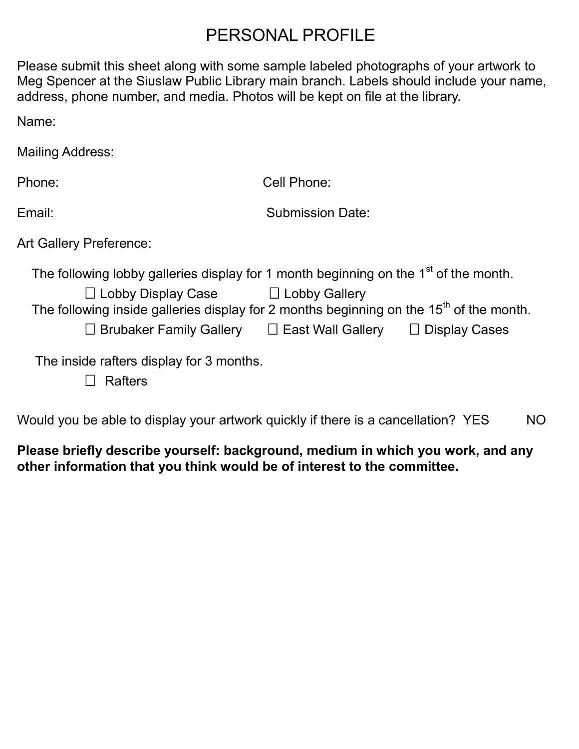## PERSONAL PROFILE

Please submit this sheet along with some sample labeled photographs of your artwork to Meg Spencer at the Siuslaw Public Library main branch. Labels should include your name, address, phone number, and media. Photos will be kept on file at the library.

Name:

Mailing Address:

Phone: Cell Phone: Email: Submission Date: Art Gallery Preference:

The following lobby galleries display for 1 month beginning on the 1<sup>st</sup> of the month.

| $\Box$ Lobby Display Case                                                                 | □ Lobby Gallery          |                      |
|-------------------------------------------------------------------------------------------|--------------------------|----------------------|
| The following inside galleries display for 2 months beginning on the $15th$ of the month. |                          |                      |
| $\Box$ Brubaker Family Gallery                                                            | $\Box$ East Wall Gallery | $\Box$ Display Cases |
| The inside rafters display for 3 months                                                   |                          |                      |

Fire inside rafters display for 3 months. Rafters

Would you be able to display your artwork quickly if there is a cancellation? YES NO

## **Please briefly describe yourself: background, medium in which you work, and any other information that you think would be of interest to the committee.**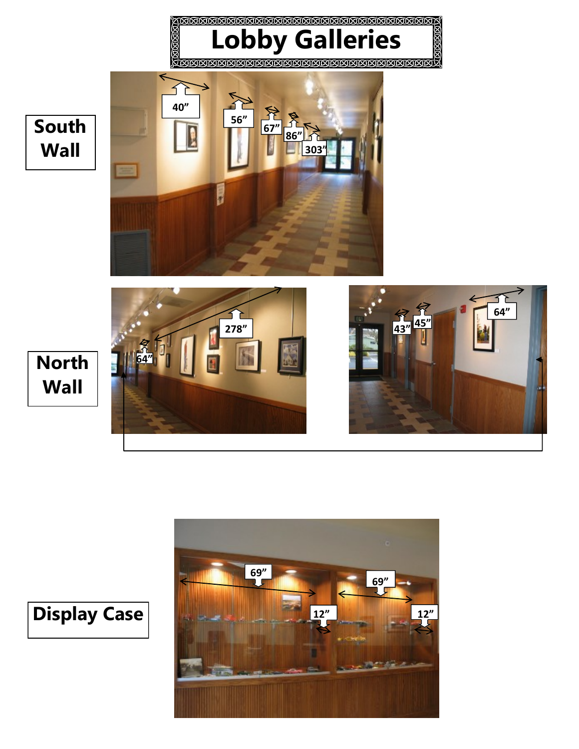



**Display Case**